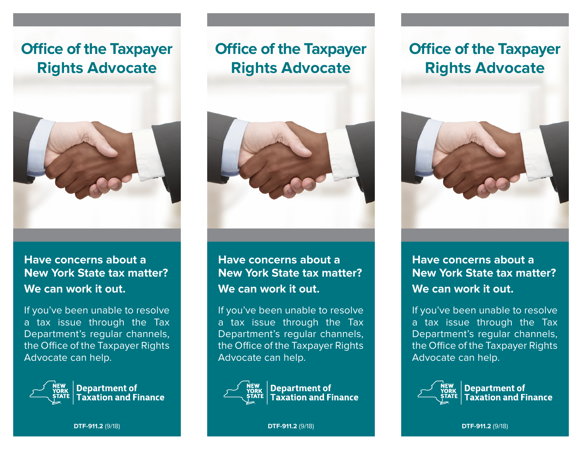# **Office of the Taxpayer Rights Advocate**



## **Have concerns about a New York State tax matter? We can work it out.**

If you've been unable to resolve a tax issue through the Tax Department's regular channels, the Office of the Taxpayer Rights Advocate can help.



# **Office of the Taxpayer Rights Advocate**



## **Have concerns about a New York State tax matter? We can work it out.**

If you've been unable to resolve a tax issue through the Tax Department's regular channels, the Office of the Taxpayer Rights Advocate can help.



# **Office of the Taxpayer Rights Advocate**



**Have concerns about a New York State tax matter? We can work it out.**

If you've been unable to resolve a tax issue through the Tax Department's regular channels, the Office of the Taxpayer Rights Advocate can help.



**DTF-911.2** (9/18)

**DTF-911.2** (9/18)

**DTF-911.2** (9/18)